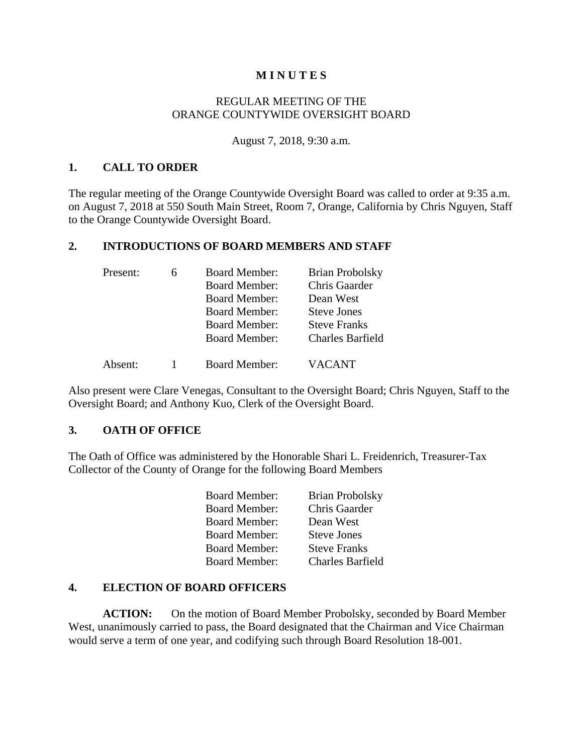### **M I N U T E S**

### REGULAR MEETING OF THE ORANGE COUNTYWIDE OVERSIGHT BOARD

August 7, 2018, 9:30 a.m.

### **1. CALL TO ORDER**

The regular meeting of the Orange Countywide Oversight Board was called to order at 9:35 a.m. on August 7, 2018 at 550 South Main Street, Room 7, Orange, California by Chris Nguyen, Staff to the Orange Countywide Oversight Board.

## **2. INTRODUCTIONS OF BOARD MEMBERS AND STAFF**

| Present: | <b>Board Member:</b> | <b>Brian Probolsky</b>  |
|----------|----------------------|-------------------------|
|          | <b>Board Member:</b> | Chris Gaarder           |
|          | <b>Board Member:</b> | Dean West               |
|          | <b>Board Member:</b> | <b>Steve Jones</b>      |
|          | <b>Board Member:</b> | <b>Steve Franks</b>     |
|          | <b>Board Member:</b> | <b>Charles Barfield</b> |
| Absent:  | <b>Board Member:</b> | <b>VACANT</b>           |

Also present were Clare Venegas, Consultant to the Oversight Board; Chris Nguyen, Staff to the Oversight Board; and Anthony Kuo, Clerk of the Oversight Board.

### **3. OATH OF OFFICE**

The Oath of Office was administered by the Honorable Shari L. Freidenrich, Treasurer-Tax Collector of the County of Orange for the following Board Members

| <b>Board Member:</b> | <b>Brian Probolsky</b>  |
|----------------------|-------------------------|
| <b>Board Member:</b> | Chris Gaarder           |
| <b>Board Member:</b> | Dean West               |
| <b>Board Member:</b> | <b>Steve Jones</b>      |
| <b>Board Member:</b> | <b>Steve Franks</b>     |
| <b>Board Member:</b> | <b>Charles Barfield</b> |

### **4. ELECTION OF BOARD OFFICERS**

**ACTION:** On the motion of Board Member Probolsky, seconded by Board Member West, unanimously carried to pass, the Board designated that the Chairman and Vice Chairman would serve a term of one year, and codifying such through Board Resolution 18-001.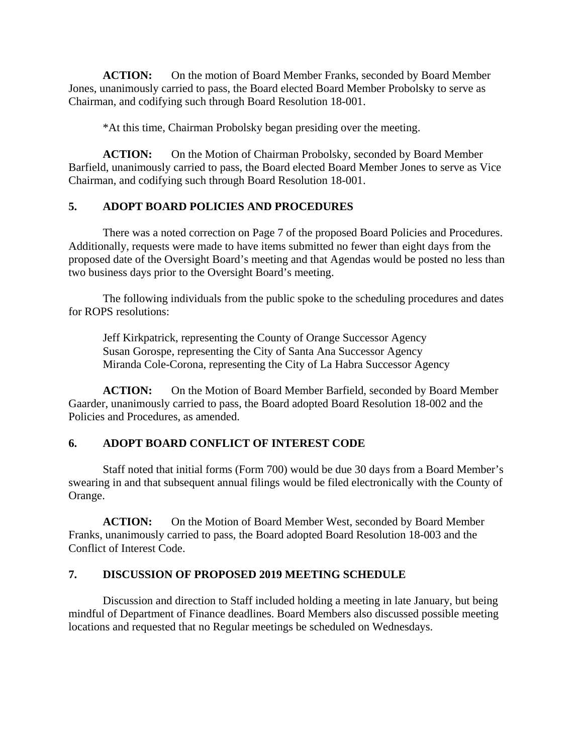**ACTION:** On the motion of Board Member Franks, seconded by Board Member Jones, unanimously carried to pass, the Board elected Board Member Probolsky to serve as Chairman, and codifying such through Board Resolution 18-001.

\*At this time, Chairman Probolsky began presiding over the meeting.

ACTION: On the Motion of Chairman Probolsky, seconded by Board Member Barfield, unanimously carried to pass, the Board elected Board Member Jones to serve as Vice Chairman, and codifying such through Board Resolution 18-001.

# **5. ADOPT BOARD POLICIES AND PROCEDURES**

There was a noted correction on Page 7 of the proposed Board Policies and Procedures. Additionally, requests were made to have items submitted no fewer than eight days from the proposed date of the Oversight Board's meeting and that Agendas would be posted no less than two business days prior to the Oversight Board's meeting.

 The following individuals from the public spoke to the scheduling procedures and dates for ROPS resolutions:

 Jeff Kirkpatrick, representing the County of Orange Successor Agency Susan Gorospe, representing the City of Santa Ana Successor Agency Miranda Cole-Corona, representing the City of La Habra Successor Agency

**ACTION:** On the Motion of Board Member Barfield, seconded by Board Member Gaarder, unanimously carried to pass, the Board adopted Board Resolution 18-002 and the Policies and Procedures, as amended.

# **6. ADOPT BOARD CONFLICT OF INTEREST CODE**

Staff noted that initial forms (Form 700) would be due 30 days from a Board Member's swearing in and that subsequent annual filings would be filed electronically with the County of Orange.

**ACTION:** On the Motion of Board Member West, seconded by Board Member Franks, unanimously carried to pass, the Board adopted Board Resolution 18-003 and the Conflict of Interest Code.

# **7. DISCUSSION OF PROPOSED 2019 MEETING SCHEDULE**

Discussion and direction to Staff included holding a meeting in late January, but being mindful of Department of Finance deadlines. Board Members also discussed possible meeting locations and requested that no Regular meetings be scheduled on Wednesdays.